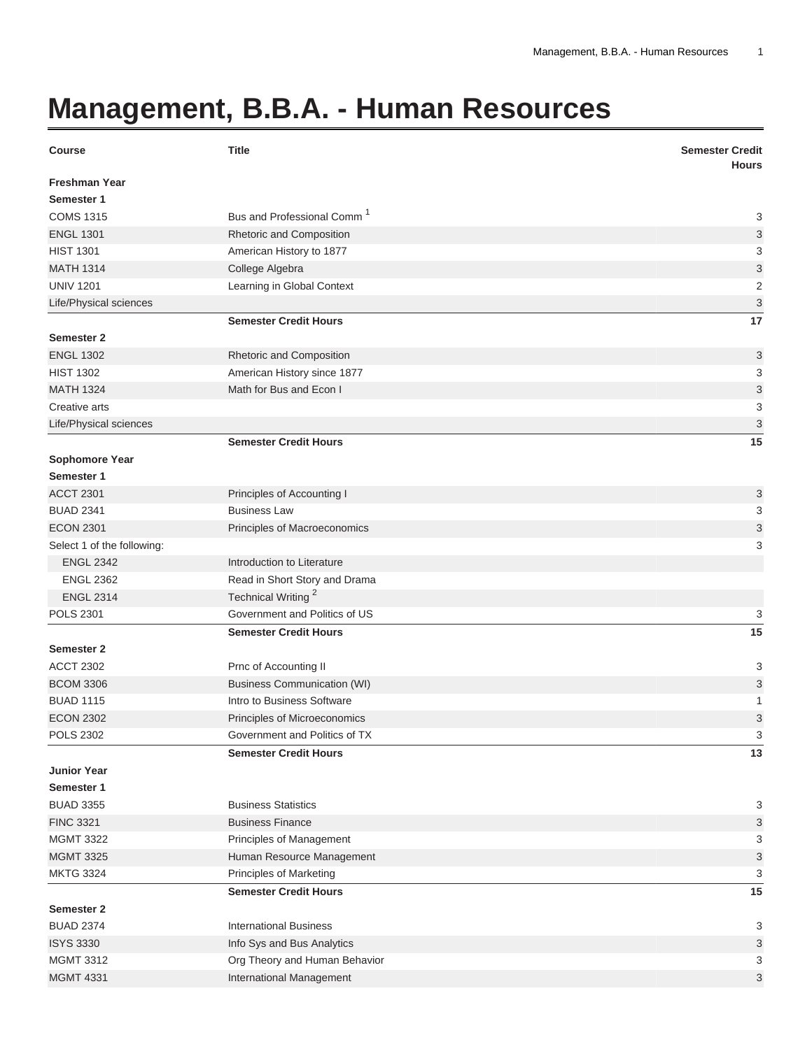## **Management, B.B.A. - Human Resources**

| <b>Course</b>              | <b>Title</b>                           | <b>Semester Credit</b><br><b>Hours</b> |
|----------------------------|----------------------------------------|----------------------------------------|
| <b>Freshman Year</b>       |                                        |                                        |
| Semester 1                 |                                        |                                        |
| <b>COMS 1315</b>           | Bus and Professional Comm <sup>1</sup> | 3                                      |
| <b>ENGL 1301</b>           | Rhetoric and Composition               | 3                                      |
| <b>HIST 1301</b>           | American History to 1877               | 3                                      |
| <b>MATH 1314</b>           | College Algebra                        | 3                                      |
| <b>UNIV 1201</b>           | Learning in Global Context             | $\overline{2}$                         |
| Life/Physical sciences     |                                        | 3                                      |
|                            | <b>Semester Credit Hours</b>           | 17                                     |
| <b>Semester 2</b>          |                                        |                                        |
| <b>ENGL 1302</b>           | Rhetoric and Composition               | 3                                      |
| <b>HIST 1302</b>           | American History since 1877            | 3                                      |
| <b>MATH 1324</b>           | Math for Bus and Econ I                | 3                                      |
| Creative arts              |                                        | 3                                      |
| Life/Physical sciences     |                                        | 3                                      |
|                            | <b>Semester Credit Hours</b>           | 15                                     |
| <b>Sophomore Year</b>      |                                        |                                        |
| Semester 1                 |                                        |                                        |
| <b>ACCT 2301</b>           | Principles of Accounting I             | 3                                      |
| <b>BUAD 2341</b>           | <b>Business Law</b>                    | 3                                      |
| <b>ECON 2301</b>           | Principles of Macroeconomics           | 3                                      |
| Select 1 of the following: |                                        | 3                                      |
| <b>ENGL 2342</b>           | Introduction to Literature             |                                        |
| <b>ENGL 2362</b>           | Read in Short Story and Drama          |                                        |
| <b>ENGL 2314</b>           | Technical Writing <sup>2</sup>         |                                        |
| <b>POLS 2301</b>           | Government and Politics of US          | 3                                      |
|                            | <b>Semester Credit Hours</b>           | 15                                     |
| Semester 2                 |                                        |                                        |
| <b>ACCT 2302</b>           | Prnc of Accounting II                  | 3                                      |
| <b>BCOM 3306</b>           | <b>Business Communication (WI)</b>     | 3                                      |
| <b>BUAD 1115</b>           | Intro to Business Software             | 1                                      |
| <b>ECON 2302</b>           | Principles of Microeconomics           | 3                                      |
| <b>POLS 2302</b>           | Government and Politics of TX          | 3                                      |
|                            | <b>Semester Credit Hours</b>           | 13                                     |
| <b>Junior Year</b>         |                                        |                                        |
| Semester 1                 |                                        |                                        |
| <b>BUAD 3355</b>           | <b>Business Statistics</b>             | 3                                      |
| <b>FINC 3321</b>           | <b>Business Finance</b>                | 3                                      |
| <b>MGMT 3322</b>           | Principles of Management               | 3                                      |
| <b>MGMT 3325</b>           | Human Resource Management              | 3                                      |
| <b>MKTG 3324</b>           | <b>Principles of Marketing</b>         | 3                                      |
|                            | <b>Semester Credit Hours</b>           | 15                                     |
| <b>Semester 2</b>          |                                        |                                        |
| <b>BUAD 2374</b>           | <b>International Business</b>          | 3                                      |
| <b>ISYS 3330</b>           | Info Sys and Bus Analytics             | 3                                      |
| <b>MGMT 3312</b>           | Org Theory and Human Behavior          | 3                                      |
| <b>MGMT 4331</b>           | International Management               | 3                                      |
|                            |                                        |                                        |